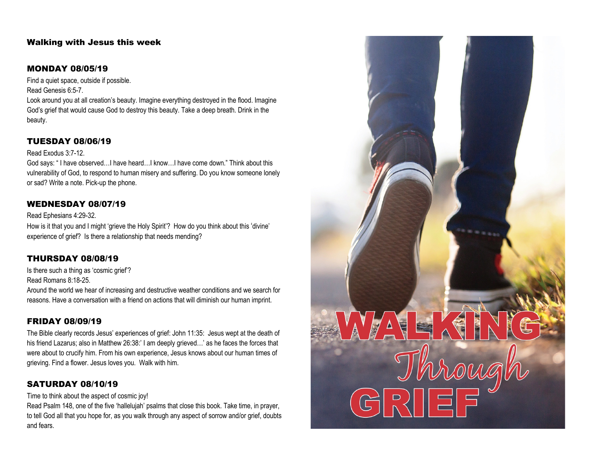## Walking with Jesus this week

#### MONDAY 08/05/19

Find a quiet space, outside if possible. Read Genesis 6:5-7.

Look around you at all creation's beauty. Imagine everything destroyed in the flood. Imagine God's grief that would cause God to destroy this beauty. Take a deep breath. Drink in the beauty.

#### TUESDAY 08/06/19

#### Read Exodus 3:7-12.

God says: " I have observed…I have heard…I know…I have come down." Think about this vulnerability of God, to respond to human misery and suffering. Do you know someone lonely or sad? Write a note. Pick-up the phone.

#### WEDNESDAY 08/07/19

#### Read Ephesians 4:29-32.

How is it that you and I might 'grieve the Holy Spirit'? How do you think about this 'divine' experience of grief? Is there a relationship that needs mending?

### THURSDAY 08/08/19

Is there such a thing as 'cosmic grief'?

Read Romans 8:18-25.

Around the world we hear of increasing and destructive weather conditions and we search for reasons. Have a conversation with a friend on actions that will diminish our human imprint.

#### FRIDAY 08/09/19

The Bible clearly records Jesus' experiences of grief: John 11:35: Jesus wept at the death of his friend Lazarus; also in Matthew 26:38:' I am deeply grieved...' as he faces the forces that were about to crucify him. From his own experience, Jesus knows about our human times of grieving. Find a flower. Jesus loves you. Walk with him.

#### SATURDAY 08/10/19

Time to think about the aspect of cosmic joy!

Read Psalm 148, one of the five 'hallelujah' psalms that close this book. Take time, in prayer, to tell God all that you hope for, as you walk through any aspect of sorrow and/or grief, doubts and fears.